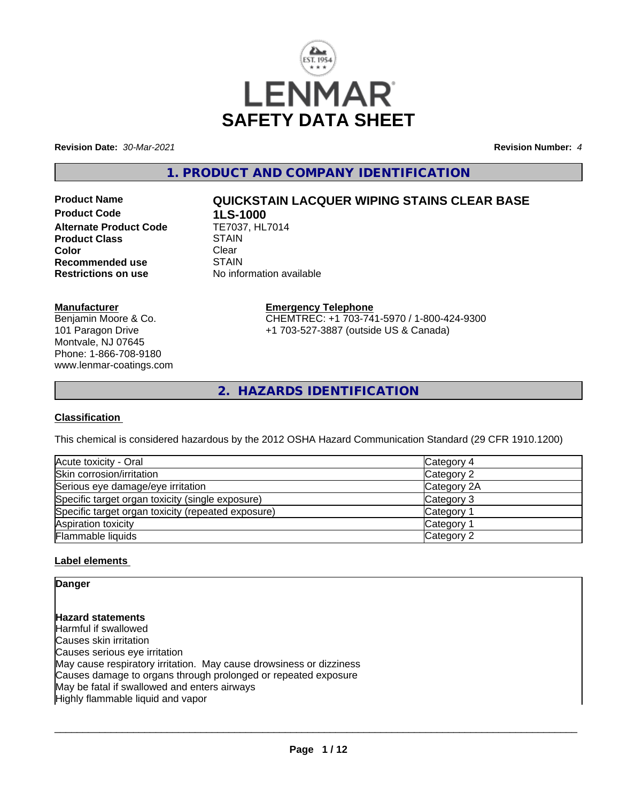

**Revision Date:** *30-Mar-2021* **Revision Number:** *4*

**1. PRODUCT AND COMPANY IDENTIFICATION**

**Product Code 1LS-1000<br>Alternate Product Code TE7037, HL7014 Alternate Product Code Product Class STAIN STAIN Color Color** Clear Clear **Recommended use** STAIN<br> **Restrictions on use** No info

# **Product Name QUICKSTAIN LACQUER WIPING STAINS CLEAR BASE**

**No information available** 

## **Manufacturer**

Benjamin Moore & Co. 101 Paragon Drive Montvale, NJ 07645 Phone: 1-866-708-9180 www.lenmar-coatings.com

# **Emergency Telephone**

CHEMTREC: +1 703-741-5970 / 1-800-424-9300 +1 703-527-3887 (outside US & Canada)

**2. HAZARDS IDENTIFICATION**

## **Classification**

This chemical is considered hazardous by the 2012 OSHA Hazard Communication Standard (29 CFR 1910.1200)

| Acute toxicity - Oral                              | Category 4            |
|----------------------------------------------------|-----------------------|
| Skin corrosion/irritation                          | Category 2            |
| Serious eye damage/eye irritation                  | Category 2A           |
| Specific target organ toxicity (single exposure)   | Category 3            |
| Specific target organ toxicity (repeated exposure) | Category 1            |
| Aspiration toxicity                                | Category <sup>2</sup> |
| Flammable liquids                                  | Category 2            |

# **Label elements**

| Danger                                                              |  |
|---------------------------------------------------------------------|--|
|                                                                     |  |
|                                                                     |  |
| Hazard statements                                                   |  |
| Harmful if swallowed                                                |  |
| Causes skin irritation                                              |  |
| Causes serious eye irritation                                       |  |
| May cause respiratory irritation. May cause drowsiness or dizziness |  |
| Causes damage to organs through prolonged or repeated exposure      |  |
| May be fatal if swallowed and enters airways                        |  |
| Highly flammable liquid and vapor                                   |  |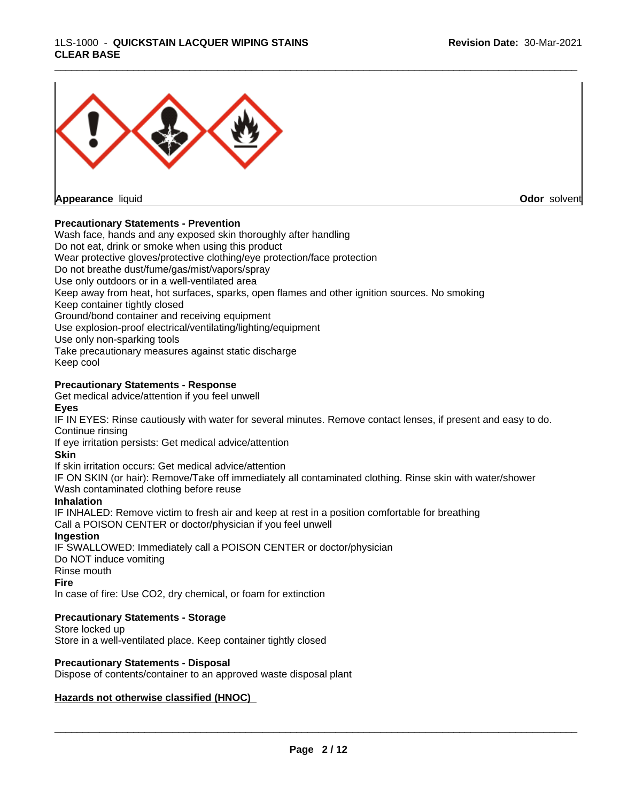#### 1LS-1000 - **QUICKSTAIN LACQUER WIPING STAINS CLEAR BASE**



#### **Precautionary Statements - Prevention**

Wash face, hands and any exposed skin thoroughly after handling Do not eat, drink or smoke when using this product Wear protective gloves/protective clothing/eye protection/face protection Do not breathe dust/fume/gas/mist/vapors/spray Use only outdoors or in a well-ventilated area Keep away from heat, hot surfaces, sparks, open flames and other ignition sources. No smoking Keep container tightly closed Ground/bond container and receiving equipment Use explosion-proof electrical/ventilating/lighting/equipment Use only non-sparking tools Take precautionary measures against static discharge Keep cool

## **Precautionary Statements - Response**

Get medical advice/attention if you feel unwell

#### **Eyes**

IF IN EYES: Rinse cautiously with water forseveral minutes. Remove contact lenses, if present and easy to do. Continue rinsing

\_\_\_\_\_\_\_\_\_\_\_\_\_\_\_\_\_\_\_\_\_\_\_\_\_\_\_\_\_\_\_\_\_\_\_\_\_\_\_\_\_\_\_\_\_\_\_\_\_\_\_\_\_\_\_\_\_\_\_\_\_\_\_\_\_\_\_\_\_\_\_\_\_\_\_\_\_\_\_\_\_\_\_\_\_\_\_\_\_\_\_\_\_

If eye irritation persists: Get medical advice/attention

## **Skin**

If skin irritation occurs: Get medical advice/attention

IF ON SKIN (or hair): Remove/Take off immediately all contaminated clothing. Rinse skin with water/shower Wash contaminated clothing before reuse

## **Inhalation**

IF INHALED: Remove victim to fresh air and keep at rest in a position comfortable for breathing Call a POISON CENTER or doctor/physician if you feel unwell

#### **Ingestion**

IF SWALLOWED: Immediately call a POISON CENTER or doctor/physician

Do NOT induce vomiting

# Rinse mouth

**Fire**

In case of fire: Use CO2, dry chemical, or foam for extinction

# **Precautionary Statements - Storage**

Store locked up Store in a well-ventilated place. Keep container tightly closed

# **Precautionary Statements - Disposal**

Dispose of contents/container to an approved waste disposal plant

# **Hazards not otherwise classified (HNOC)**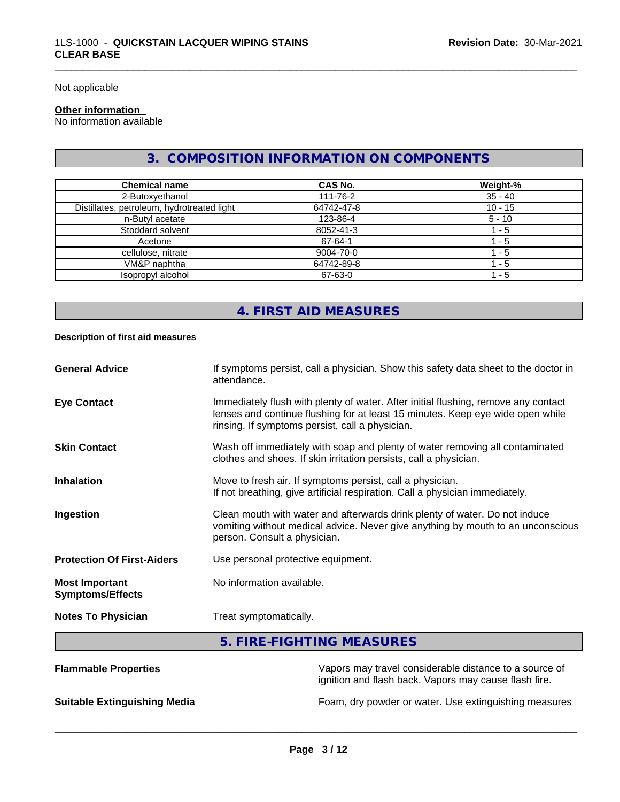Not applicable

# **Other information**

No information available

# **3. COMPOSITION INFORMATION ON COMPONENTS**

\_\_\_\_\_\_\_\_\_\_\_\_\_\_\_\_\_\_\_\_\_\_\_\_\_\_\_\_\_\_\_\_\_\_\_\_\_\_\_\_\_\_\_\_\_\_\_\_\_\_\_\_\_\_\_\_\_\_\_\_\_\_\_\_\_\_\_\_\_\_\_\_\_\_\_\_\_\_\_\_\_\_\_\_\_\_\_\_\_\_\_\_\_

| <b>Chemical name</b>                       | <b>CAS No.</b> | Weight-%  |
|--------------------------------------------|----------------|-----------|
| 2-Butoxyethanol                            | 111-76-2       | $35 - 40$ |
| Distillates, petroleum, hydrotreated light | 64742-47-8     | $10 - 15$ |
| n-Butyl acetate                            | 123-86-4       | $5 - 10$  |
| Stoddard solvent                           | 8052-41-3      | - 5       |
| Acetone                                    | 67-64-1        | - 5       |
| cellulose, nitrate                         | 9004-70-0      | - 5       |
| VM&P naphtha                               | 64742-89-8     | - 5       |
| Isopropyl alcohol                          | 67-63-0        | $-5$      |

# **4. FIRST AID MEASURES**

#### **Description of first aid measures**

| <b>General Advice</b>                            | If symptoms persist, call a physician. Show this safety data sheet to the doctor in<br>attendance.                                                                                                                      |
|--------------------------------------------------|-------------------------------------------------------------------------------------------------------------------------------------------------------------------------------------------------------------------------|
| <b>Eye Contact</b>                               | Immediately flush with plenty of water. After initial flushing, remove any contact<br>lenses and continue flushing for at least 15 minutes. Keep eye wide open while<br>rinsing. If symptoms persist, call a physician. |
| <b>Skin Contact</b>                              | Wash off immediately with soap and plenty of water removing all contaminated<br>clothes and shoes. If skin irritation persists, call a physician.                                                                       |
| <b>Inhalation</b>                                | Move to fresh air. If symptoms persist, call a physician.<br>If not breathing, give artificial respiration. Call a physician immediately.                                                                               |
| Ingestion                                        | Clean mouth with water and afterwards drink plenty of water. Do not induce<br>vomiting without medical advice. Never give anything by mouth to an unconscious<br>person. Consult a physician.                           |
| <b>Protection Of First-Aiders</b>                | Use personal protective equipment.                                                                                                                                                                                      |
| <b>Most Important</b><br><b>Symptoms/Effects</b> | No information available.                                                                                                                                                                                               |
| <b>Notes To Physician</b>                        | Treat symptomatically.                                                                                                                                                                                                  |

**5. FIRE-FIGHTING MEASURES**

| <b>Flammable Properties</b>         | Vapors may travel considerable distance to a source of<br>ignition and flash back. Vapors may cause flash fire. |
|-------------------------------------|-----------------------------------------------------------------------------------------------------------------|
| <b>Suitable Extinguishing Media</b> | Foam, dry powder or water. Use extinguishing measures                                                           |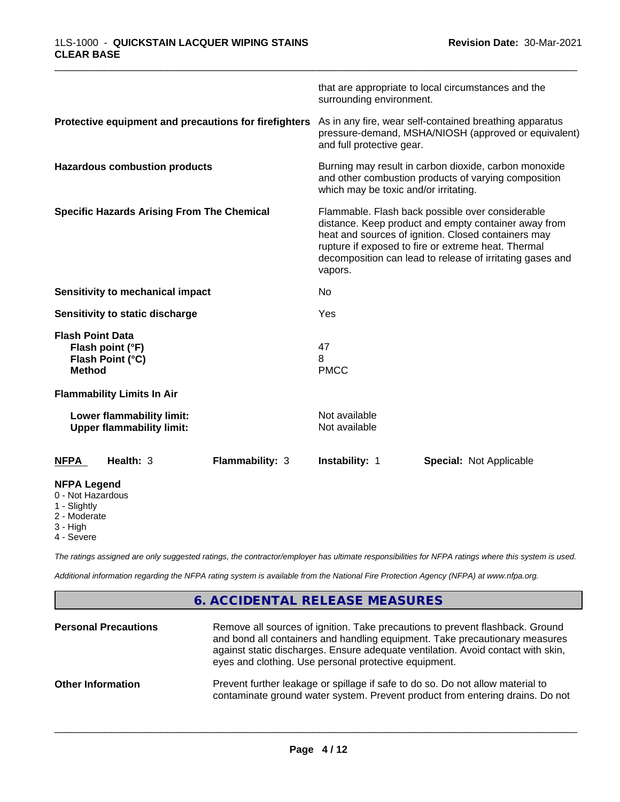|                                                                                     |                        | surrounding environment.                                                                                                                                                                                                                                                                       | that are appropriate to local circumstances and the |  |
|-------------------------------------------------------------------------------------|------------------------|------------------------------------------------------------------------------------------------------------------------------------------------------------------------------------------------------------------------------------------------------------------------------------------------|-----------------------------------------------------|--|
| Protective equipment and precautions for firefighters                               |                        | As in any fire, wear self-contained breathing apparatus<br>pressure-demand, MSHA/NIOSH (approved or equivalent)<br>and full protective gear.                                                                                                                                                   |                                                     |  |
| <b>Hazardous combustion products</b>                                                |                        | Burning may result in carbon dioxide, carbon monoxide<br>and other combustion products of varying composition<br>which may be toxic and/or irritating.                                                                                                                                         |                                                     |  |
| <b>Specific Hazards Arising From The Chemical</b>                                   |                        | Flammable. Flash back possible over considerable<br>distance. Keep product and empty container away from<br>heat and sources of ignition. Closed containers may<br>rupture if exposed to fire or extreme heat. Thermal<br>decomposition can lead to release of irritating gases and<br>vapors. |                                                     |  |
| Sensitivity to mechanical impact                                                    |                        | No                                                                                                                                                                                                                                                                                             |                                                     |  |
| Sensitivity to static discharge                                                     |                        | Yes                                                                                                                                                                                                                                                                                            |                                                     |  |
| <b>Flash Point Data</b><br>Flash point (°F)<br>Flash Point (°C)<br><b>Method</b>    |                        | 47<br>8<br><b>PMCC</b>                                                                                                                                                                                                                                                                         |                                                     |  |
| <b>Flammability Limits In Air</b>                                                   |                        |                                                                                                                                                                                                                                                                                                |                                                     |  |
| Lower flammability limit:<br><b>Upper flammability limit:</b>                       |                        | Not available<br>Not available                                                                                                                                                                                                                                                                 |                                                     |  |
| Health: 3<br><b>NFPA</b>                                                            | <b>Flammability: 3</b> | <b>Instability: 1</b>                                                                                                                                                                                                                                                                          | <b>Special: Not Applicable</b>                      |  |
| <b>NFPA Legend</b><br>0 - Not Hazardous<br>1 - Slightly<br>2 - Moderate<br>3 - High |                        |                                                                                                                                                                                                                                                                                                |                                                     |  |

4 - Severe

*The ratings assigned are only suggested ratings, the contractor/employer has ultimate responsibilities for NFPA ratings where this system is used.*

*Additional information regarding the NFPA rating system is available from the National Fire Protection Agency (NFPA) at www.nfpa.org.*

# **6. ACCIDENTAL RELEASE MEASURES**

| <b>Personal Precautions</b> | Remove all sources of ignition. Take precautions to prevent flashback. Ground<br>and bond all containers and handling equipment. Take precautionary measures<br>against static discharges. Ensure adequate ventilation. Avoid contact with skin,<br>eyes and clothing. Use personal protective equipment. |
|-----------------------------|-----------------------------------------------------------------------------------------------------------------------------------------------------------------------------------------------------------------------------------------------------------------------------------------------------------|
| <b>Other Information</b>    | Prevent further leakage or spillage if safe to do so. Do not allow material to<br>contaminate ground water system. Prevent product from entering drains. Do not                                                                                                                                           |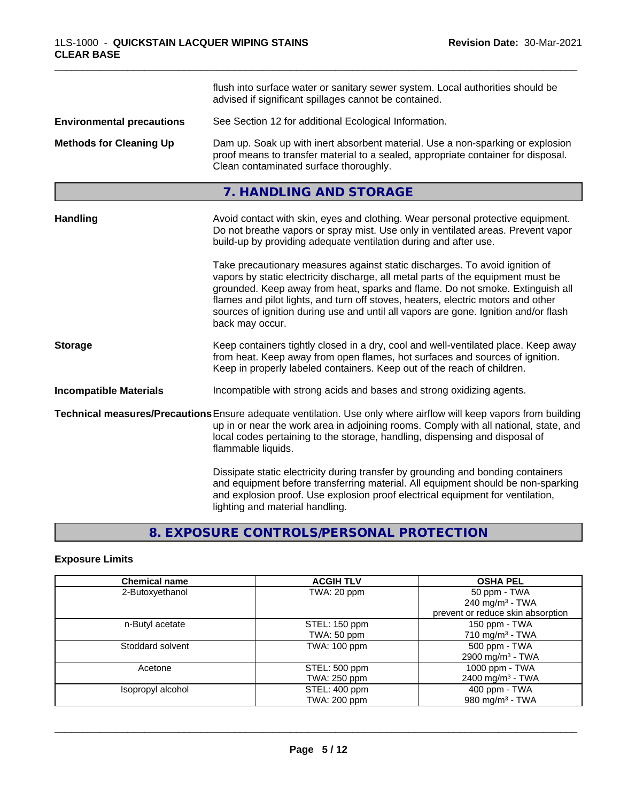|                                  | flush into surface water or sanitary sewer system. Local authorities should be<br>advised if significant spillages cannot be contained.                                                                                                                                                                                                                                                                                                        |  |  |
|----------------------------------|------------------------------------------------------------------------------------------------------------------------------------------------------------------------------------------------------------------------------------------------------------------------------------------------------------------------------------------------------------------------------------------------------------------------------------------------|--|--|
| <b>Environmental precautions</b> | See Section 12 for additional Ecological Information.                                                                                                                                                                                                                                                                                                                                                                                          |  |  |
| <b>Methods for Cleaning Up</b>   | Dam up. Soak up with inert absorbent material. Use a non-sparking or explosion<br>proof means to transfer material to a sealed, appropriate container for disposal.<br>Clean contaminated surface thoroughly.                                                                                                                                                                                                                                  |  |  |
|                                  | 7. HANDLING AND STORAGE                                                                                                                                                                                                                                                                                                                                                                                                                        |  |  |
| Handling                         | Avoid contact with skin, eyes and clothing. Wear personal protective equipment.<br>Do not breathe vapors or spray mist. Use only in ventilated areas. Prevent vapor<br>build-up by providing adequate ventilation during and after use.                                                                                                                                                                                                        |  |  |
|                                  | Take precautionary measures against static discharges. To avoid ignition of<br>vapors by static electricity discharge, all metal parts of the equipment must be<br>grounded. Keep away from heat, sparks and flame. Do not smoke. Extinguish all<br>flames and pilot lights, and turn off stoves, heaters, electric motors and other<br>sources of ignition during use and until all vapors are gone. Ignition and/or flash<br>back may occur. |  |  |
| <b>Storage</b>                   | Keep containers tightly closed in a dry, cool and well-ventilated place. Keep away<br>from heat. Keep away from open flames, hot surfaces and sources of ignition.<br>Keep in properly labeled containers. Keep out of the reach of children.                                                                                                                                                                                                  |  |  |
| <b>Incompatible Materials</b>    | Incompatible with strong acids and bases and strong oxidizing agents.                                                                                                                                                                                                                                                                                                                                                                          |  |  |
|                                  | Technical measures/Precautions Ensure adequate ventilation. Use only where airflow will keep vapors from building<br>up in or near the work area in adjoining rooms. Comply with all national, state, and<br>local codes pertaining to the storage, handling, dispensing and disposal of<br>flammable liquids.                                                                                                                                 |  |  |
|                                  | Dissipate static electricity during transfer by grounding and bonding containers<br>and equipment before transferring material. All equipment should be non-sparking<br>and explosion proof. Use explosion proof electrical equipment for ventilation,<br>lighting and material handling.                                                                                                                                                      |  |  |

# **8. EXPOSURE CONTROLS/PERSONAL PROTECTION**

# **Exposure Limits**

| <b>Chemical name</b> | <b>ACGIH TLV</b> | <b>OSHA PEL</b>                   |
|----------------------|------------------|-----------------------------------|
| 2-Butoxyethanol      | TWA: 20 ppm      | 50 ppm - TWA                      |
|                      |                  | 240 mg/m $3$ - TWA                |
|                      |                  | prevent or reduce skin absorption |
| n-Butyl acetate      | STEL: 150 ppm    | 150 ppm - TWA                     |
|                      | TWA: 50 ppm      | 710 mg/m $3$ - TWA                |
| Stoddard solvent     | TWA: 100 ppm     | 500 ppm - TWA                     |
|                      |                  | 2900 mg/m <sup>3</sup> - TWA      |
| Acetone              | STEL: 500 ppm    | 1000 ppm - TWA                    |
|                      | TWA: 250 ppm     | 2400 mg/m <sup>3</sup> - TWA      |
| Isopropyl alcohol    | STEL: 400 ppm    | 400 ppm - TWA                     |
|                      | TWA: 200 ppm     | 980 mg/m <sup>3</sup> - TWA       |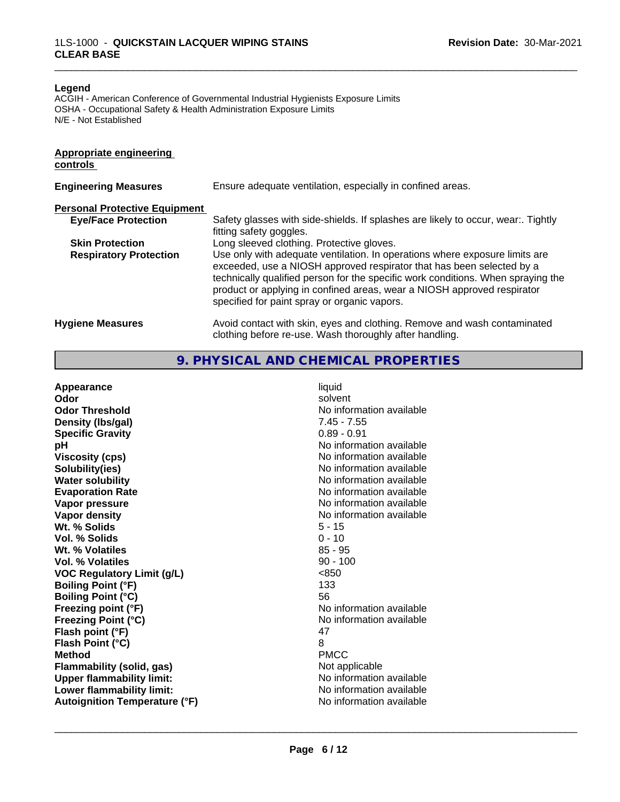#### **Legend**

ACGIH - American Conference of Governmental Industrial Hygienists Exposure Limits OSHA - Occupational Safety & Health Administration Exposure Limits N/E - Not Established

# **Appropriate engineering controls**

| <b>Engineering Measures</b>          | Ensure adequate ventilation, especially in confined areas.                                                                                                                                                                                                                                                                                                          |  |  |  |
|--------------------------------------|---------------------------------------------------------------------------------------------------------------------------------------------------------------------------------------------------------------------------------------------------------------------------------------------------------------------------------------------------------------------|--|--|--|
| <b>Personal Protective Equipment</b> |                                                                                                                                                                                                                                                                                                                                                                     |  |  |  |
| <b>Eye/Face Protection</b>           | Safety glasses with side-shields. If splashes are likely to occur, wear:. Tightly<br>fitting safety goggles.                                                                                                                                                                                                                                                        |  |  |  |
| <b>Skin Protection</b>               | Long sleeved clothing. Protective gloves.                                                                                                                                                                                                                                                                                                                           |  |  |  |
| <b>Respiratory Protection</b>        | Use only with adequate ventilation. In operations where exposure limits are<br>exceeded, use a NIOSH approved respirator that has been selected by a<br>technically qualified person for the specific work conditions. When spraying the<br>product or applying in confined areas, wear a NIOSH approved respirator<br>specified for paint spray or organic vapors. |  |  |  |
| <b>Hygiene Measures</b>              | Avoid contact with skin, eyes and clothing. Remove and wash contaminated<br>clothing before re-use. Wash thoroughly after handling.                                                                                                                                                                                                                                 |  |  |  |

\_\_\_\_\_\_\_\_\_\_\_\_\_\_\_\_\_\_\_\_\_\_\_\_\_\_\_\_\_\_\_\_\_\_\_\_\_\_\_\_\_\_\_\_\_\_\_\_\_\_\_\_\_\_\_\_\_\_\_\_\_\_\_\_\_\_\_\_\_\_\_\_\_\_\_\_\_\_\_\_\_\_\_\_\_\_\_\_\_\_\_\_\_

**9. PHYSICAL AND CHEMICAL PROPERTIES**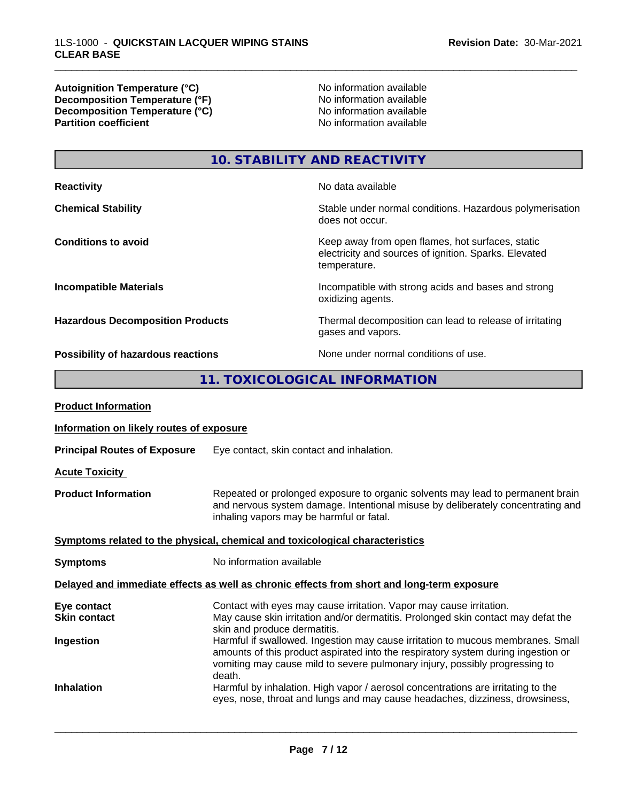**Autoignition Temperature (°C)** No information available **Decomposition Temperature (°F)** No information available **Decomposition Temperature (°C)**<br> **Partition coefficient**<br> **Partition coefficient**<br> **No** information available

**No information available** 

\_\_\_\_\_\_\_\_\_\_\_\_\_\_\_\_\_\_\_\_\_\_\_\_\_\_\_\_\_\_\_\_\_\_\_\_\_\_\_\_\_\_\_\_\_\_\_\_\_\_\_\_\_\_\_\_\_\_\_\_\_\_\_\_\_\_\_\_\_\_\_\_\_\_\_\_\_\_\_\_\_\_\_\_\_\_\_\_\_\_\_\_\_

**10. STABILITY AND REACTIVITY**

| <b>Reactivity</b>                       | No data available                                                                                                         |
|-----------------------------------------|---------------------------------------------------------------------------------------------------------------------------|
| <b>Chemical Stability</b>               | Stable under normal conditions. Hazardous polymerisation<br>does not occur.                                               |
| <b>Conditions to avoid</b>              | Keep away from open flames, hot surfaces, static<br>electricity and sources of ignition. Sparks. Elevated<br>temperature. |
| <b>Incompatible Materials</b>           | Incompatible with strong acids and bases and strong<br>oxidizing agents.                                                  |
| <b>Hazardous Decomposition Products</b> | Thermal decomposition can lead to release of irritating<br>gases and vapors.                                              |
| Possibility of hazardous reactions      | None under normal conditions of use.                                                                                      |

# **11. TOXICOLOGICAL INFORMATION**

| <b>Product Information</b>               |                                                                                                                                                                                                                                                               |
|------------------------------------------|---------------------------------------------------------------------------------------------------------------------------------------------------------------------------------------------------------------------------------------------------------------|
| Information on likely routes of exposure |                                                                                                                                                                                                                                                               |
| <b>Principal Routes of Exposure</b>      | Eye contact, skin contact and inhalation.                                                                                                                                                                                                                     |
| <b>Acute Toxicity</b>                    |                                                                                                                                                                                                                                                               |
| <b>Product Information</b>               | Repeated or prolonged exposure to organic solvents may lead to permanent brain<br>and nervous system damage. Intentional misuse by deliberately concentrating and<br>inhaling vapors may be harmful or fatal.                                                 |
|                                          | Symptoms related to the physical, chemical and toxicological characteristics                                                                                                                                                                                  |
| <b>Symptoms</b>                          | No information available                                                                                                                                                                                                                                      |
|                                          | Delayed and immediate effects as well as chronic effects from short and long-term exposure                                                                                                                                                                    |
| Eye contact<br><b>Skin contact</b>       | Contact with eyes may cause irritation. Vapor may cause irritation.<br>May cause skin irritation and/or dermatitis. Prolonged skin contact may defat the<br>skin and produce dermatitis.                                                                      |
| Ingestion                                | Harmful if swallowed. Ingestion may cause irritation to mucous membranes. Small<br>amounts of this product aspirated into the respiratory system during ingestion or<br>vomiting may cause mild to severe pulmonary injury, possibly progressing to<br>death. |
| <b>Inhalation</b>                        | Harmful by inhalation. High vapor / aerosol concentrations are irritating to the<br>eyes, nose, throat and lungs and may cause headaches, dizziness, drowsiness,                                                                                              |
|                                          |                                                                                                                                                                                                                                                               |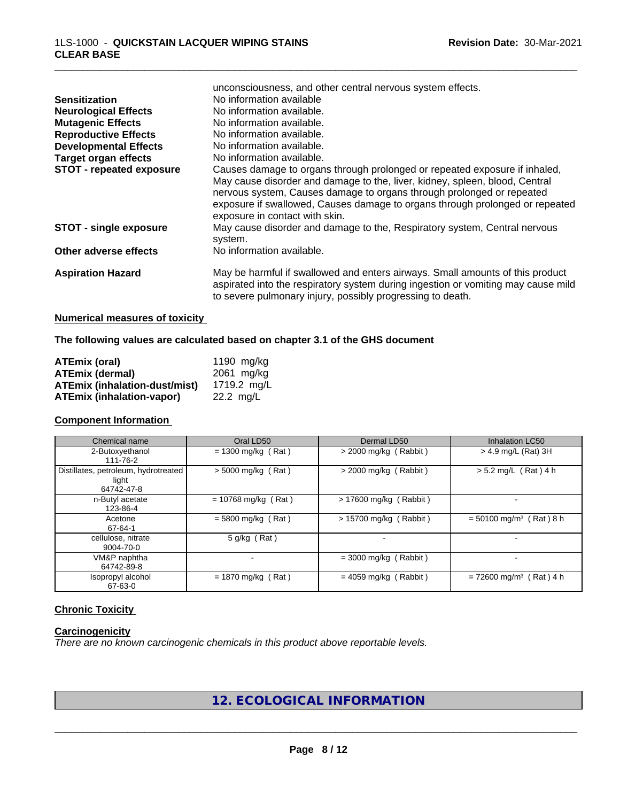|                                 | unconsciousness, and other central nervous system effects.                                                                                                                                                                                                             |
|---------------------------------|------------------------------------------------------------------------------------------------------------------------------------------------------------------------------------------------------------------------------------------------------------------------|
| <b>Sensitization</b>            | No information available                                                                                                                                                                                                                                               |
| <b>Neurological Effects</b>     | No information available.                                                                                                                                                                                                                                              |
| <b>Mutagenic Effects</b>        | No information available.                                                                                                                                                                                                                                              |
| <b>Reproductive Effects</b>     | No information available.                                                                                                                                                                                                                                              |
| <b>Developmental Effects</b>    | No information available.                                                                                                                                                                                                                                              |
| Target organ effects            | No information available.                                                                                                                                                                                                                                              |
| <b>STOT - repeated exposure</b> | Causes damage to organs through prolonged or repeated exposure if inhaled,                                                                                                                                                                                             |
|                                 | May cause disorder and damage to the, liver, kidney, spleen, blood, Central<br>nervous system, Causes damage to organs through prolonged or repeated<br>exposure if swallowed, Causes damage to organs through prolonged or repeated<br>exposure in contact with skin. |
| <b>STOT - single exposure</b>   | May cause disorder and damage to the, Respiratory system, Central nervous<br>system.                                                                                                                                                                                   |
| Other adverse effects           | No information available.                                                                                                                                                                                                                                              |
| <b>Aspiration Hazard</b>        | May be harmful if swallowed and enters airways. Small amounts of this product<br>aspirated into the respiratory system during ingestion or vomiting may cause mild<br>to severe pulmonary injury, possibly progressing to death.                                       |
|                                 |                                                                                                                                                                                                                                                                        |

# **Numerical measures of toxicity**

**The following values are calculated based on chapter 3.1 of the GHS document**

| ATEmix (oral)                        | 1190 mg/kg  |
|--------------------------------------|-------------|
| <b>ATEmix (dermal)</b>               | 2061 mg/kg  |
| <b>ATEmix (inhalation-dust/mist)</b> | 1719.2 ma/L |
| <b>ATEmix (inhalation-vapor)</b>     | 22.2 ma/L   |

#### **Component Information**

| Chemical name                                               | Oral LD50             | Dermal LD50             | <b>Inhalation LC50</b>                |
|-------------------------------------------------------------|-----------------------|-------------------------|---------------------------------------|
| 2-Butoxyethanol<br>111-76-2                                 | $= 1300$ mg/kg (Rat)  | $>$ 2000 mg/kg (Rabbit) | $>$ 4.9 mg/L (Rat) 3H                 |
| Distillates, petroleum, hydrotreated<br>light<br>64742-47-8 | $> 5000$ mg/kg (Rat)  | $>$ 2000 mg/kg (Rabbit) | $> 5.2$ mg/L (Rat) 4 h                |
| n-Butyl acetate<br>123-86-4                                 | $= 10768$ mg/kg (Rat) | > 17600 mg/kg (Rabbit)  |                                       |
| Acetone<br>67-64-1                                          | $= 5800$ mg/kg (Rat)  | > 15700 mg/kg (Rabbit)  | $= 50100$ mg/m <sup>3</sup> (Rat) 8 h |
| cellulose, nitrate<br>9004-70-0                             | 5 g/kg (Rat)          |                         |                                       |
| VM&P naphtha<br>64742-89-8                                  |                       | $=$ 3000 mg/kg (Rabbit) |                                       |
| Isopropyl alcohol<br>67-63-0                                | $= 1870$ mg/kg (Rat)  | $= 4059$ mg/kg (Rabbit) | $= 72600$ mg/m <sup>3</sup> (Rat) 4 h |

# **Chronic Toxicity**

# **Carcinogenicity**

*There are no known carcinogenic chemicals in this product above reportable levels.*

**12. ECOLOGICAL INFORMATION**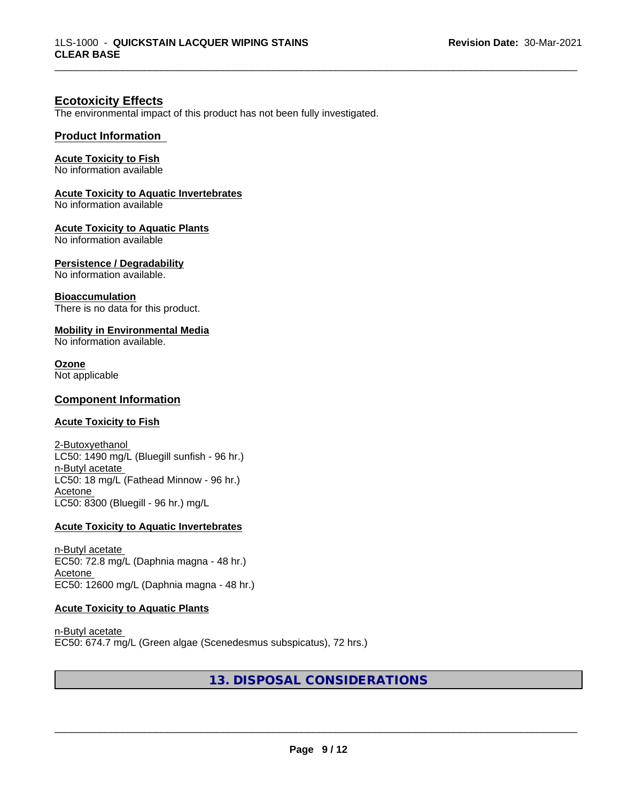## **Ecotoxicity Effects**

The environmental impact of this product has not been fully investigated.

#### **Product Information**

#### **Acute Toxicity to Fish**

No information available

### **Acute Toxicity to Aquatic Invertebrates**

No information available

#### **Acute Toxicity to Aquatic Plants**

No information available

#### **Persistence / Degradability**

No information available.

#### **Bioaccumulation**

There is no data for this product.

## **Mobility in Environmental Media**

No information available.

#### **Ozone**

Not applicable

#### **Component Information**

#### **Acute Toxicity to Fish**

2-Butoxyethanol LC50: 1490 mg/L (Bluegill sunfish - 96 hr.) n-Butyl acetate LC50: 18 mg/L (Fathead Minnow - 96 hr.) Acetone LC50: 8300 (Bluegill - 96 hr.) mg/L

#### **Acute Toxicity to Aquatic Invertebrates**

n-Butyl acetate EC50: 72.8 mg/L (Daphnia magna - 48 hr.) Acetone EC50: 12600 mg/L (Daphnia magna - 48 hr.)

#### **Acute Toxicity to Aquatic Plants**

n-Butyl acetate EC50: 674.7 mg/L (Green algae (Scenedesmus subspicatus), 72 hrs.)

# **13. DISPOSAL CONSIDERATIONS**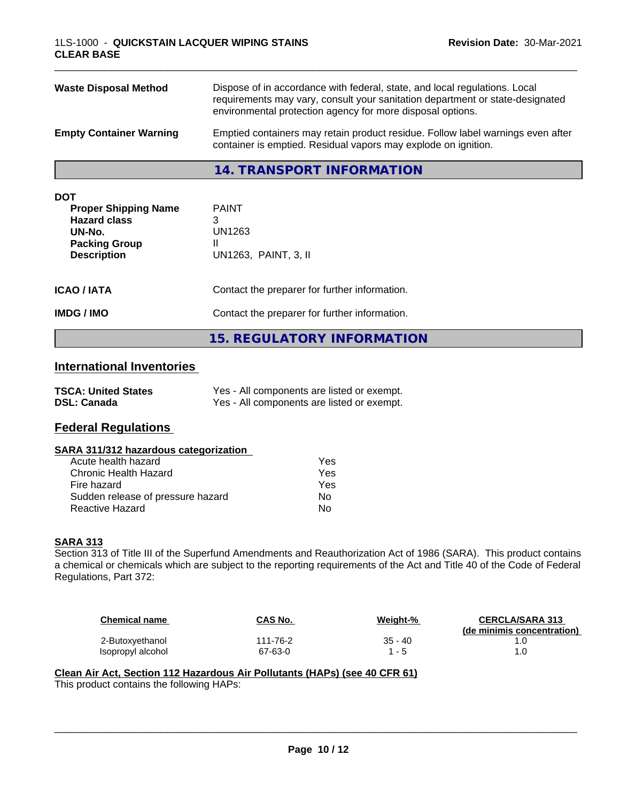| <b>DOT</b><br><b>Proper Shipping Name</b><br><b>Hazard class</b> | <b>PAINT</b>                                                                                                                                                                                                              |
|------------------------------------------------------------------|---------------------------------------------------------------------------------------------------------------------------------------------------------------------------------------------------------------------------|
|                                                                  | <b>14. TRANSPORT INFORMATION</b>                                                                                                                                                                                          |
| <b>Empty Container Warning</b>                                   | Emptied containers may retain product residue. Follow label warnings even after<br>container is emptied. Residual vapors may explode on ignition.                                                                         |
| <b>Waste Disposal Method</b>                                     | Dispose of in accordance with federal, state, and local regulations. Local<br>requirements may vary, consult your sanitation department or state-designated<br>environmental protection agency for more disposal options. |

**15. REGULATORY INFORMATION**

| UN-No.<br><b>Packing Group</b><br><b>Description</b> | UN1263<br>UN1263, PAINT, 3, II                |
|------------------------------------------------------|-----------------------------------------------|
| ICAO / IATA                                          | Contact the preparer for further information. |
| IMDG / IMO                                           | Contact the preparer for further information. |

## **International Inventories**

| <b>TSCA: United States</b> | Yes - All components are listed or exempt. |
|----------------------------|--------------------------------------------|
| <b>DSL: Canada</b>         | Yes - All components are listed or exempt. |

# **Federal Regulations**

#### **SARA 311/312 hazardous categorization**

| Acute health hazard               | Yes |
|-----------------------------------|-----|
| Chronic Health Hazard             | Yes |
| Fire hazard                       | Yes |
| Sudden release of pressure hazard | N٥  |
| Reactive Hazard                   | N٥  |

## **SARA 313**

Section 313 of Title III of the Superfund Amendments and Reauthorization Act of 1986 (SARA). This product contains a chemical or chemicals which are subject to the reporting requirements of the Act and Title 40 of the Code of Federal Regulations, Part 372:

| <b>Chemical name</b> | CAS No.  | Weight-% | <b>CERCLA/SARA 313</b><br>(de minimis concentration) |
|----------------------|----------|----------|------------------------------------------------------|
| 2-Butoxyethanol      | 111-76-2 | 35 - 40  |                                                      |
| Isopropyl alcohol    | 67-63-0  | - 5      |                                                      |

 $\overline{\phantom{a}}$  ,  $\overline{\phantom{a}}$  ,  $\overline{\phantom{a}}$  ,  $\overline{\phantom{a}}$  ,  $\overline{\phantom{a}}$  ,  $\overline{\phantom{a}}$  ,  $\overline{\phantom{a}}$  ,  $\overline{\phantom{a}}$  ,  $\overline{\phantom{a}}$  ,  $\overline{\phantom{a}}$  ,  $\overline{\phantom{a}}$  ,  $\overline{\phantom{a}}$  ,  $\overline{\phantom{a}}$  ,  $\overline{\phantom{a}}$  ,  $\overline{\phantom{a}}$  ,  $\overline{\phantom{a}}$ 

# **Clean Air Act,Section 112 Hazardous Air Pollutants (HAPs) (see 40 CFR 61)**

This product contains the following HAPs: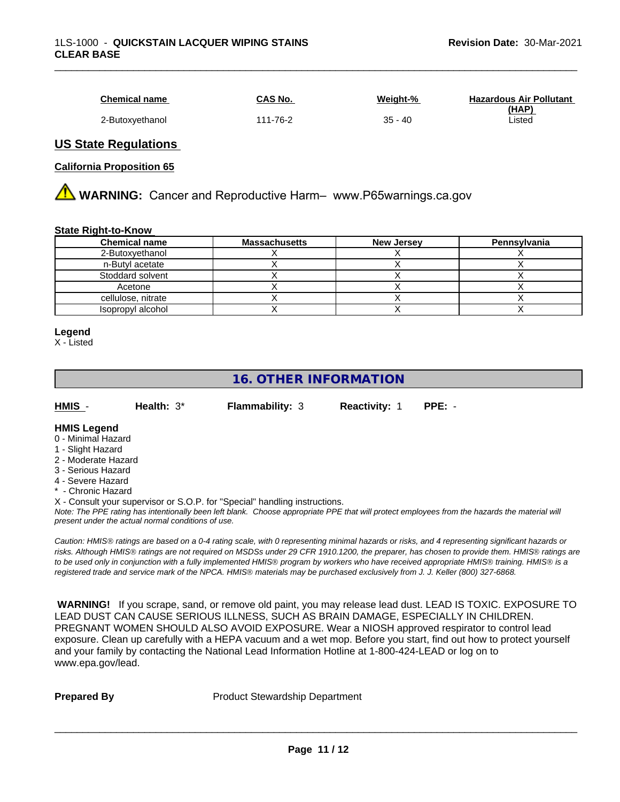| <b>Chemical name</b> | CAS No.  | Weight-%  | <b>Hazardous Air Pollutant</b> |
|----------------------|----------|-----------|--------------------------------|
|                      |          |           | (HAP)                          |
| 2-Butoxvethanol      | 111-76-2 | $35 - 40$ | Listed                         |

## **US State Regulations**

## **California Proposition 65**

**AN** WARNING: Cancer and Reproductive Harm– www.P65warnings.ca.gov

#### **State Right-to-Know**

| <b>Chemical name</b> | <b>Massachusetts</b> | <b>New Jersey</b> | Pennsylvania |
|----------------------|----------------------|-------------------|--------------|
| 2-Butoxyethanol      |                      |                   |              |
| n-Butyl acetate      |                      |                   |              |
| Stoddard solvent     |                      |                   |              |
| Acetone              |                      |                   |              |
| cellulose, nitrate   |                      |                   |              |
| Isopropyl alcohol    |                      |                   |              |

#### **Legend**

X - Listed

# **16. OTHER INFORMATION**

| HMIS | Health: $3^*$ | <b>Flammability: 3</b> | <b>Reactivity: 1</b> | PPE: - |
|------|---------------|------------------------|----------------------|--------|

#### **HMIS Legend**

- 0 Minimal Hazard
- 1 Slight Hazard
- 2 Moderate Hazard
- 3 Serious Hazard
- 4 Severe Hazard
- \* Chronic Hazard

X - Consult your supervisor or S.O.P. for "Special" handling instructions.

*Note: The PPE rating has intentionally been left blank. Choose appropriate PPE that will protect employees from the hazards the material will present under the actual normal conditions of use.*

*Caution: HMISÒ ratings are based on a 0-4 rating scale, with 0 representing minimal hazards or risks, and 4 representing significant hazards or risks. Although HMISÒ ratings are not required on MSDSs under 29 CFR 1910.1200, the preparer, has chosen to provide them. HMISÒ ratings are to be used only in conjunction with a fully implemented HMISÒ program by workers who have received appropriate HMISÒ training. HMISÒ is a registered trade and service mark of the NPCA. HMISÒ materials may be purchased exclusively from J. J. Keller (800) 327-6868.*

 **WARNING!** If you scrape, sand, or remove old paint, you may release lead dust. LEAD IS TOXIC. EXPOSURE TO LEAD DUST CAN CAUSE SERIOUS ILLNESS, SUCH AS BRAIN DAMAGE, ESPECIALLY IN CHILDREN. PREGNANT WOMEN SHOULD ALSO AVOID EXPOSURE.Wear a NIOSH approved respirator to control lead exposure. Clean up carefully with a HEPA vacuum and a wet mop. Before you start, find out how to protect yourself and your family by contacting the National Lead Information Hotline at 1-800-424-LEAD or log on to www.epa.gov/lead.

**Prepared By** Product Stewardship Department